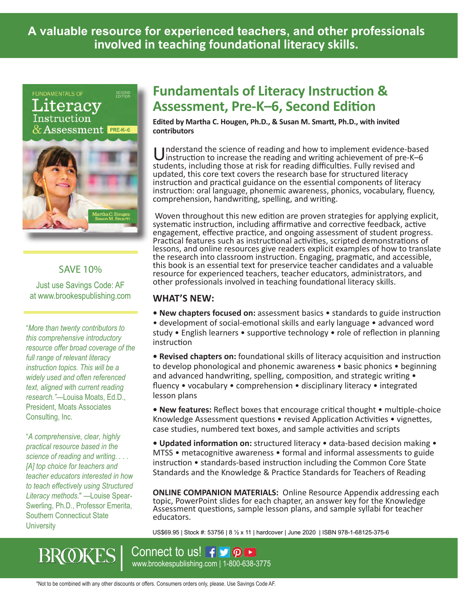**A valuable resource for experienced teachers, and other professionals involved in teaching foundational literacy skills.**

**FUNDAMENTALS OF** SECOND<br>EDITION teracv struction **Assessment PRE-K-6** 



#### SAVE 10%

Just use Savings Code: AF at www.brookespublishing.com

"*More than twenty contributors to this comprehensive introductory resource offer broad coverage of the full range of relevant literacy instruction topics. This will be a widely used and often referenced text, aligned with current reading research."*—Louisa Moats, Ed.D., President, Moats Associates Consulting, Inc.

"*A comprehensive, clear, highly practical resource based in the science of reading and writing. . . . [A] top choice for teachers and teacher educators interested in how to teach effectively using Structured Literacy methods.*" —Louise Spear-Swerling, Ph.D., Professor Emerita, Southern Connecticut State **University** 

**BROKES** 

### **Fundamentals of Literacy Instruction & Assessment, Pre-K–6, Second Edition**

**Edited by Martha C. Hougen, Ph.D., & Susan M. Smartt, Ph.D., with invited contributors**

I Inderstand the science of reading and how to implement evidence-based instruction to increase the reading and writing achievement of pre-K–6 students, including those at risk for reading difficulties. Fully revised and updated, this core text covers the research base for structured literacy instruction and practical guidance on the essential components of literacy instruction: oral language, phonemic awareness, phonics, vocabulary, fluency, comprehension, handwriting, spelling, and writing.

Woven throughout this new edition are proven strategies for applying explicit, systematic instruction, including affirmative and corrective feedback, active engagement, effective practice, and ongoing assessment of student progress. Practical features such as instructional activities, scripted demonstrations of lessons, and online resources give readers explicit examples of how to translate the research into classroom instruction. Engaging, pragmatic, and accessible, this book is an essential text for preservice teacher candidates and a valuable resource for experienced teachers, teacher educators, administrators, and other professionals involved in teaching foundational literacy skills.

#### **WHAT'S NEW:**

**• New chapters focused on:** assessment basics • standards to guide instruction • development of social-emotional skills and early language • advanced word study • English learners • supportive technology • role of reflection in planning instruction

**• Revised chapters on:** foundational skills of literacy acquisition and instruction to develop phonological and phonemic awareness • basic phonics • beginning and advanced handwriting, spelling, composition, and strategic writing  $\bullet$ fluency • vocabulary • comprehension • disciplinary literacy • integrated lesson plans

**• New features:** Reflect boxes that encourage critical thought • multiple-choice Knowledge Assessment questions • revised Application Activities • vignettes, case studies, numbered text boxes, and sample activities and scripts

**• Updated information on:** structured literacy • data-based decision making • MTSS • metacognitive awareness • formal and informal assessments to guide instruction • standards-based instruction including the Common Core State Standards and the Knowledge & Practice Standards for Teachers of Reading

**ONLINE COMPANION MATERIALS:** Online Resource Appendix addressing each topic, PowerPoint slides for each chapter, an answer key for the Knowledge Assessment questions, sample lesson plans, and sample syllabi for teacher educators.

US\$69.95 | Stock #: 53756 | 8 ½ x 11 | hardcover | June 2020 | ISBN 978-1-68125-375-6

www.brookespublishing.com | 1-800-638-3775 Connect to us! f D **P** 

\*Not to be combined with any other discounts or offers. Consumers orders only, please. Use Savings Code AF.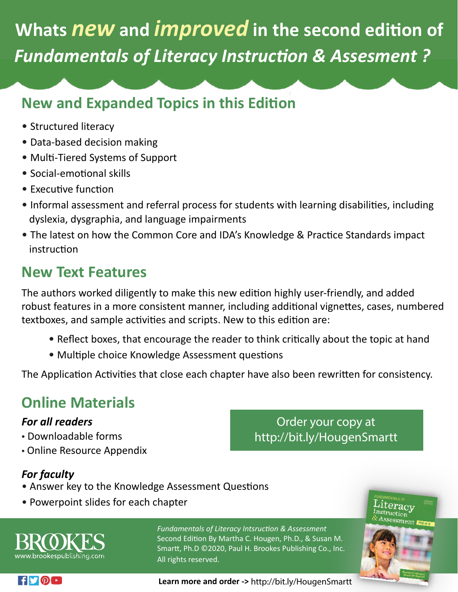## **Whats** *new* **and** *improved* **in the second edi�on of** *Fundamentals of Literacy Instruction & Assesment ?*

### **New and Expanded Topics in this Edition**

- Structured literacy
- Data-based decision making
- Multi-Tiered Systems of Support
- Social-emotional skills
- $\bullet$  Executive function
- Informal assessment and referral process for students with learning disabilities, including dyslexia, dysgraphia, and language impairments
- The latest on how the Common Core and IDA's Knowledge & Practice Standards impact instruction

### **New Text Features**

The authors worked diligently to make this new edition highly user-friendly, and added robust features in a more consistent manner, including additional vignettes, cases, numbered textboxes, and sample activities and scripts. New to this edition are:

- Reflect boxes, that encourage the reader to think critically about the topic at hand
- Multiple choice Knowledge Assessment questions

The Application Activities that close each chapter have also been rewritten for consistency.

### **Online Materials**

### *For all readers*

- Downloadable forms
- Online Resource Appendix

### *For faculty*

- Answer key to the Knowledge Assessment Questions
- Powerpoint slides for each chapter



*Fundamentals of Literacy Intsruction & Assessment*  Second Edition By Martha C. Hougen, Ph.D., & Susan M. Smartt, Ph.D ©2020, Paul H. Brookes Publishing Co., Inc. All rights reserved.



Order your copy at

http://bit.ly/HougenSmartt

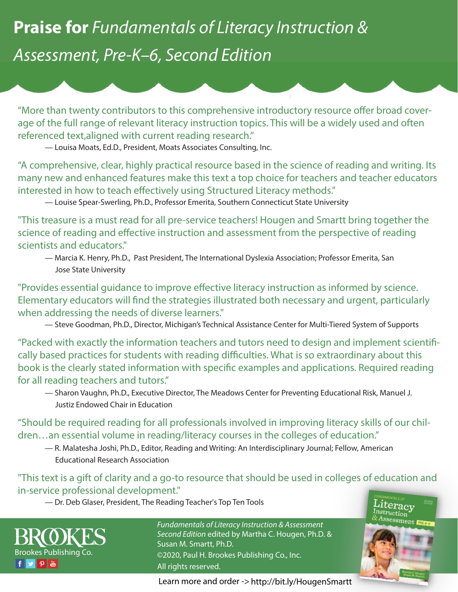## **Praise for** *Fundamentals of Literacy Instruction & Assessment, Pre-K–6, Second Edition*

"More than twenty contributors to this comprehensive introductory resource offer broad coverage of the full range of relevant literacy instruction topics. This will be a widely used and often referenced text,aligned with current reading research."

— Louisa Moats, Ed.D., President, Moats Associates Consulting, Inc.

"A comprehensive, clear, highly practical resource based in the science of reading and writing. Its many new and enhanced features make this text a top choice for teachers and teacher educators interested in how to teach effectively using Structured Literacy methods."

— Louise Spear-Swerling, Ph.D., Professor Emerita, Southern Connecticut State University

"This treasure is a must read for all pre-service teachers! Hougen and Smartt bring together the science of reading and effective instruction and assessment from the perspective of reading scientists and educators."

— Marcia K. Henry, Ph.D., Past President, The International Dyslexia Association; Professor Emerita, San Jose State University

"Provides essential quidance to improve effective literacy instruction as informed by science. Elementary educators will find the strategies illustrated both necessary and urgent, particularly when addressing the needs of diverse learners."

— Steve Goodman, Ph.D., Director, Michigan's Technical Assistance Center for Multi-Tiered System of Supports

"Packed with exactly the information teachers and tutors need to design and implement scientifically based practices for students with reading difficulties. What is so extraordinary about this book is the clearly stated information with specific examples and applications. Required reading for all reading teachers and tutors."

— Sharon Vaughn, Ph.D., Executive Director, The Meadows Center for Preventing Educational Risk, Manuel J. Justiz Endowed Chair in Education

"Should be required reading for all professionals involved in improving literacy skills of our children…an essential volume in reading/literacy courses in the colleges of education."

— R. Malatesha Joshi, Ph.D., Editor, Reading and Writing: An Interdisciplinary Journal; Fellow, American Educational Research Association

### "This text is a gift of clarity and a go-to resource that should be used in colleges of education and in-service professional development."

— Dr. Deb Glaser, President, The Reading Teacher's Top Ten Tools



*Fundamentals of Literacy Instruction & Assessment Second Edition* edited by Martha C. Hougen, Ph.D. & Susan M. Smartt, Ph.D. ©2020, Paul H. Brookes Publishing Co., Inc. All rights reserved.

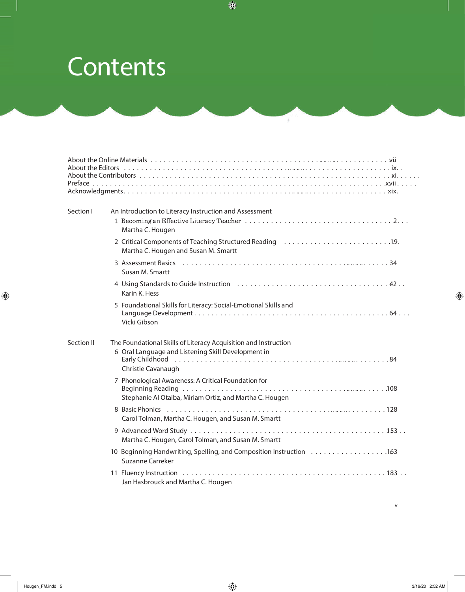# **Contents**

| Section I  | An Introduction to Literacy Instruction and Assessment<br>Martha C. Hougen                                                                                                                                                                      |
|------------|-------------------------------------------------------------------------------------------------------------------------------------------------------------------------------------------------------------------------------------------------|
|            | 2 Critical Components of Teaching Structured Reading 19.<br>Martha C. Hougen and Susan M. Smartt                                                                                                                                                |
|            | Susan M. Smartt                                                                                                                                                                                                                                 |
|            | 4 Using Standards to Guide Instruction (1000) (1000) (1000) (1000) (1000) (1000) (1000) (1000) (1000) (1000) (1000) (1000) (1000) (1000) (1000) (1000) (1000) (1000) (1000) (1000) (1000) (1000) (1000) (1000) (1000) (1000) (<br>Karin K. Hess |
|            | 5 Foundational Skills for Literacy: Social-Emotional Skills and<br>Vicki Gibson                                                                                                                                                                 |
| Section II | The Foundational Skills of Literacy Acquisition and Instruction<br>6 Oral Language and Listening Skill Development in<br>Christie Cavanaugh                                                                                                     |
|            | 7 Phonological Awareness: A Critical Foundation for<br>Stephanie Al Otaiba, Miriam Ortiz, and Martha C. Hougen                                                                                                                                  |
|            | Carol Tolman, Martha C. Hougen, and Susan M. Smartt                                                                                                                                                                                             |
|            | Martha C. Hougen, Carol Tolman, and Susan M. Smartt                                                                                                                                                                                             |
|            | <b>Suzanne Carreker</b>                                                                                                                                                                                                                         |
|            | Jan Hasbrouck and Martha C. Hougen                                                                                                                                                                                                              |

 $\int\limits_{\mathbb{R}^{3}}$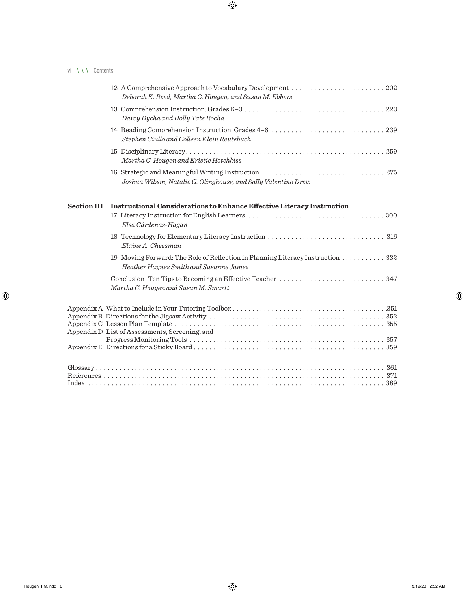|                    | Deborah K. Reed, Martha C. Hougen, and Susan M. Ebbers                                                                   |
|--------------------|--------------------------------------------------------------------------------------------------------------------------|
|                    | Darcy Dycha and Holly Tate Rocha                                                                                         |
|                    | Stephen Ciullo and Colleen Klein Reutebuch                                                                               |
|                    | Martha C. Hougen and Kristie Hotchkiss                                                                                   |
|                    | Joshua Wilson, Natalie G. Olinghouse, and Sally Valentino Drew                                                           |
| <b>Section III</b> | <b>Instructional Considerations to Enhance Effective Literacy Instruction</b>                                            |
|                    | Elsa Cárdenas-Hagan                                                                                                      |
|                    | Elaine A. Cheesman                                                                                                       |
|                    | 19 Moving Forward: The Role of Reflection in Planning Literacy Instruction 332<br>Heather Haynes Smith and Susanne James |
|                    | Martha C. Hougen and Susan M. Smartt                                                                                     |
|                    | Appendix D List of Assessments, Screening, and                                                                           |
|                    |                                                                                                                          |
|                    |                                                                                                                          |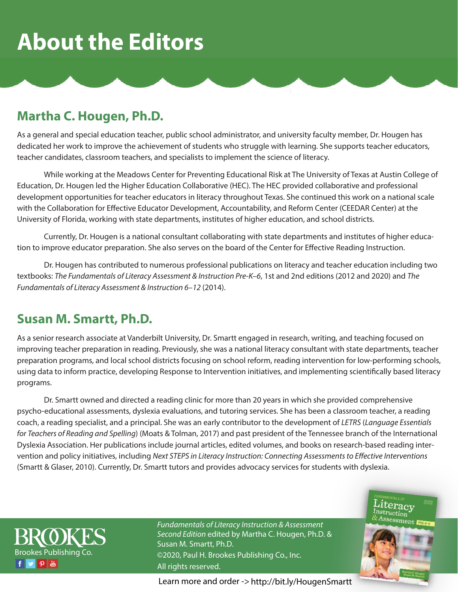# **About the Editors**

### **Martha C. Hougen, Ph.D.**

As a general and special education teacher, public school administrator, and university faculty member, Dr. Hougen has dedicated her work to improve the achievement of students who struggle with learning. She supports teacher educators, teacher candidates, classroom teachers, and specialists to implement the science of literacy.

While working at the Meadows Center for Preventing Educational Risk at The University of Texas at Austin College of Education, Dr. Hougen led the Higher Education Collaborative (HEC). The HEC provided collaborative and professional development opportunities for teacher educators in literacy throughout Texas. She continued this work on a national scale with the Collaboration for Effective Educator Development, Accountability, and Reform Center (CEEDAR Center) at the University of Florida, working with state departments, institutes of higher education, and school districts.

Currently, Dr. Hougen is a national consultant collaborating with state departments and institutes of higher education to improve educator preparation. She also serves on the board of the Center for Effective Reading Instruction.

Dr. Hougen has contributed to numerous professional publications on literacy and teacher education including two textbooks: *The Fundamentals of Literacy Assessment & Instruction Pre-K–6*, 1st and 2nd editions (2012 and 2020) and *The Fundamentals of Literacy Assessment & Instruction 6–12* (2014).

### **Susan M. Smartt, Ph.D.**

As a senior research associate at Vanderbilt University, Dr. Smartt engaged in research, writing, and teaching focused on improving teacher preparation in reading. Previously, she was a national literacy consultant with state departments, teacher preparation programs, and local school districts focusing on school reform, reading intervention for low-performing schools, using data to inform practice, developing Response to Intervention initiatives, and implementing scientifically based literacy programs.

Dr. Smartt owned and directed a reading clinic for more than 20 years in which she provided comprehensive psycho-educational assessments, dyslexia evaluations, and tutoring services. She has been a classroom teacher, a reading coach, a reading specialist, and a principal. She was an early contributor to the development of *LETRS* (*Language Essentials for Teachers of Reading and Spelling*) (Moats & Tolman, 2017) and past president of the Tennessee branch of the International Dyslexia Association. Her publications include journal articles, edited volumes, and books on research-based reading intervention and policy initiatives, including *Next STEPS in Literacy Instruction: Connecting Assessments to Effective Interventions* (Smartt & Glaser, 2010). Currently, Dr. Smartt tutors and provides advocacy services for students with dyslexia.

> $\operatorname*{Literacy}\limits_{\stackrel{\text{Instruction}}{\scriptstyle\alpha\text{-}r}}$ struction<br>Assessment Fre



*Fundamentals of Literacy Instruction & Assessment Second Edition* edited by Martha C. Hougen, Ph.D. & Susan M. Smartt, Ph.D. ©2020, Paul H. Brookes Publishing Co., Inc. All rights reserved.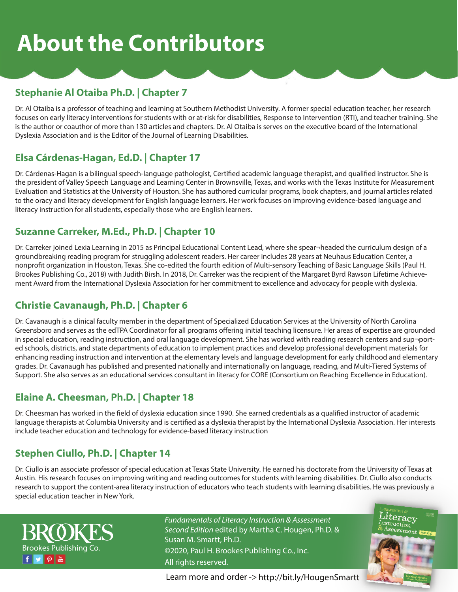### **Stephanie Al Otaiba Ph.D. | Chapter 7**

Dr. Al Otaiba is a professor of teaching and learning at Southern Methodist University. A former special education teacher, her research focuses on early literacy interventions for students with or at-risk for disabilities, Response to Intervention (RTI), and teacher training. She is the author or coauthor of more than 130 articles and chapters. Dr. Al Otaiba is serves on the executive board of the International Dyslexia Association and is the Editor of the Journal of Learning Disabilities.

### **Elsa Cárdenas-Hagan, Ed.D. | Chapter 17**

Dr. Cárdenas-Hagan is a bilingual speech-language pathologist, Certified academic language therapist, and qualified instructor. She is the president of Valley Speech Language and Learning Center in Brownsville, Texas, and works with the Texas Institute for Measurement Evaluation and Statistics at the University of Houston. She has authored curricular programs, book chapters, and journal articles related to the oracy and literacy development for English language learners. Her work focuses on improving evidence-based language and literacy instruction for all students, especially those who are English learners.

#### **Suzanne Carreker, M.Ed., Ph.D. | Chapter 10**

Dr. Carreker joined Lexia Learning in 2015 as Principal Educational Content Lead, where she spear¬headed the curriculum design of a groundbreaking reading program for struggling adolescent readers. Her career includes 28 years at Neuhaus Education Center, a nonprofit organization in Houston, Texas. She co-edited the fourth edition of Multi-sensory Teaching of Basic Language Skills (Paul H. Brookes Publishing Co., 2018) with Judith Birsh. In 2018, Dr. Carreker was the recipient of the Margaret Byrd Rawson Lifetime Achievement Award from the International Dyslexia Association for her commitment to excellence and advocacy for people with dyslexia.

### **Christie Cavanaugh, Ph.D. | Chapter 6**

Dr. Cavanaugh is a clinical faculty member in the department of Specialized Education Services at the University of North Carolina Greensboro and serves as the edTPA Coordinator for all programs offering initial teaching licensure. Her areas of expertise are grounded in special education, reading instruction, and oral language development. She has worked with reading research centers and sup¬ported schools, districts, and state departments of education to implement practices and develop professional development materials for enhancing reading instruction and intervention at the elementary levels and language development for early childhood and elementary grades. Dr. Cavanaugh has published and presented nationally and internationally on language, reading, and Multi-Tiered Systems of Support. She also serves as an educational services consultant in literacy for CORE (Consortium on Reaching Excellence in Education).

### **Elaine A. Cheesman, Ph.D. | Chapter 18**

Dr. Cheesman has worked in the field of dyslexia education since 1990. She earned credentials as a qualified instructor of academic language therapists at Columbia University and is certified as a dyslexia therapist by the International Dyslexia Association. Her interests include teacher education and technology for evidence-based literacy instruction

### **Stephen Ciullo, Ph.D. | Chapter 14**

Dr. Ciullo is an associate professor of special education at Texas State University. He earned his doctorate from the University of Texas at Austin. His research focuses on improving writing and reading outcomes for students with learning disabilities. Dr. Ciullo also conducts research to support the content-area literacy instruction of educators who teach students with learning disabilities. He was previously a special education teacher in New York.



*Fundamentals of Literacy Instruction & Assessment Second Edition* edited by Martha C. Hougen, Ph.D. & Susan M. Smartt, Ph.D. ©2020, Paul H. Brookes Publishing Co., Inc. All rights reserved.

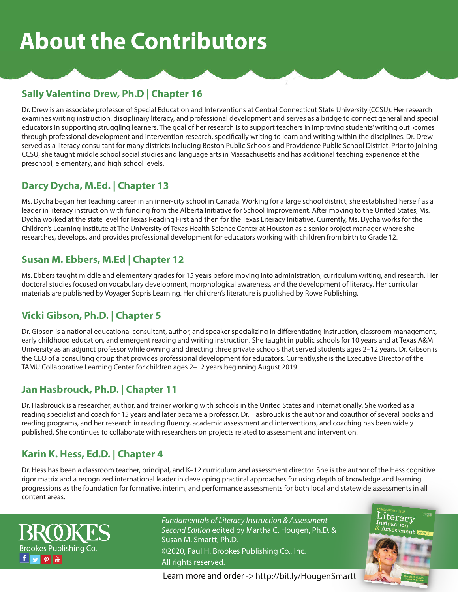### **Sally Valentino Drew, Ph.D | Chapter 16**

Dr. Drew is an associate professor of Special Education and Interventions at Central Connecticut State University (CCSU). Her research examines writing instruction, disciplinary literacy, and professional development and serves as a bridge to connect general and special educators in supporting struggling learners. The goal of her research is to support teachers in improving students' writing out¬comes through professional development and intervention research, specifically writing to learn and writing within the disciplines. Dr. Drew served as a literacy consultant for many districts including Boston Public Schools and Providence Public School District. Prior to joining CCSU, she taught middle school social studies and language arts in Massachusetts and has additional teaching experience at the preschool, elementary, and high school levels.

### **Darcy Dycha, M.Ed. | Chapter 13**

Ms. Dycha began her teaching career in an inner-city school in Canada. Working for a large school district, she established herself as a leader in literacy instruction with funding from the Alberta Initiative for School Improvement. After moving to the United States, Ms. Dycha worked at the state level for Texas Reading First and then for the Texas Literacy Initiative. Currently, Ms. Dycha works for the Children's Learning Institute at The University of Texas Health Science Center at Houston as a senior project manager where she researches, develops, and provides professional development for educators working with children from birth to Grade 12.

### **Susan M. Ebbers, M.Ed | Chapter 12**

Ms. Ebbers taught middle and elementary grades for 15 years before moving into administration, curriculum writing, and research. Her doctoral studies focused on vocabulary development, morphological awareness, and the development of literacy. Her curricular materials are published by Voyager Sopris Learning. Her children's literature is published by Rowe Publishing.

### **Vicki Gibson, Ph.D. | Chapter 5**

Dr. Gibson is a national educational consultant, author, and speaker specializing in differentiating instruction, classroom management, early childhood education, and emergent reading and writing instruction. She taught in public schools for 10 years and at Texas A&M University as an adjunct professor while owning and directing three private schools that served students ages 2–12 years. Dr. Gibson is the CEO of a consulting group that provides professional development for educators. Currently,she is the Executive Director of the TAMU Collaborative Learning Center for children ages 2–12 years beginning August 2019.

### **Jan Hasbrouck, Ph.D. | Chapter 11**

Dr. Hasbrouck is a researcher, author, and trainer working with schools in the United States and internationally. She worked as a reading specialist and coach for 15 years and later became a professor. Dr. Hasbrouck is the author and coauthor of several books and reading programs, and her research in reading fluency, academic assessment and interventions, and coaching has been widely published. She continues to collaborate with researchers on projects related to assessment and intervention.

### **Karin K. Hess, Ed.D. | Chapter 4**

Dr. Hess has been a classroom teacher, principal, and K–12 curriculum and assessment director. She is the author of the Hess cognitive rigor matrix and a recognized international leader in developing practical approaches for using depth of knowledge and learning progressions as the foundation for formative, interim, and performance assessments for both local and statewide assessments in all content areas.



*Fundamentals of Literacy Instruction & Assessment Second Edition* edited by Martha C. Hougen, Ph.D. & Susan M. Smartt, Ph.D. ©2020, Paul H. Brookes Publishing Co., Inc. All rights reserved.

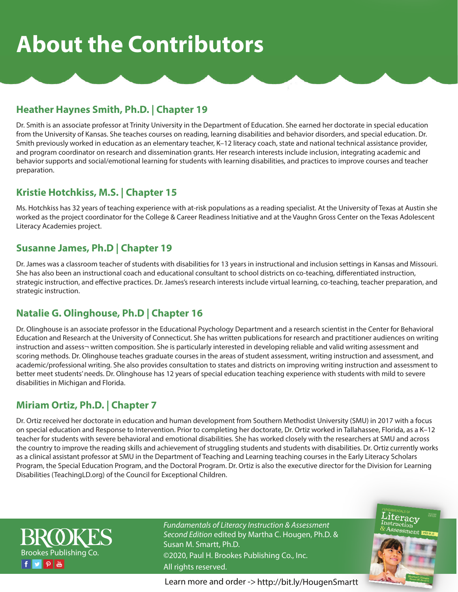### **Heather Haynes Smith, Ph.D. | Chapter 19**

Dr. Smith is an associate professor at Trinity University in the Department of Education. She earned her doctorate in special education from the University of Kansas. She teaches courses on reading, learning disabilities and behavior disorders, and special education. Dr. Smith previously worked in education as an elementary teacher, K–12 literacy coach, state and national technical assistance provider, and program coordinator on research and dissemination grants. Her research interests include inclusion, integrating academic and behavior supports and social/emotional learning for students with learning disabilities, and practices to improve courses and teacher preparation.

#### **Kristie Hotchkiss, M.S. | Chapter 15**

Ms. Hotchkiss has 32 years of teaching experience with at-risk populations as a reading specialist. At the University of Texas at Austin she worked as the project coordinator for the College & Career Readiness Initiative and at the Vaughn Gross Center on the Texas Adolescent Literacy Academies project.

#### **Susanne James, Ph.D | Chapter 19**

Dr. James was a classroom teacher of students with disabilities for 13 years in instructional and inclusion settings in Kansas and Missouri. She has also been an instructional coach and educational consultant to school districts on co-teaching, differentiated instruction, strategic instruction, and effective practices. Dr. James's research interests include virtual learning, co-teaching, teacher preparation, and strategic instruction.

### **Natalie G. Olinghouse, Ph.D | Chapter 16**

Dr. Olinghouse is an associate professor in the Educational Psychology Department and a research scientist in the Center for Behavioral Education and Research at the University of Connecticut. She has written publications for research and practitioner audiences on writing instruction and assess¬ written composition. She is particularly interested in developing reliable and valid writing assessment and scoring methods. Dr. Olinghouse teaches graduate courses in the areas of student assessment, writing instruction and assessment, and academic/professional writing. She also provides consultation to states and districts on improving writing instruction and assessment to better meet students' needs. Dr. Olinghouse has 12 years of special education teaching experience with students with mild to severe disabilities in Michigan and Florida.

### **Miriam Ortiz, Ph.D. | Chapter 7**

Dr. Ortiz received her doctorate in education and human development from Southern Methodist University (SMU) in 2017 with a focus on special education and Response to Intervention. Prior to completing her doctorate, Dr. Ortiz worked in Tallahassee, Florida, as a K–12 teacher for students with severe behavioral and emotional disabilities. She has worked closely with the researchers at SMU and across the country to improve the reading skills and achievement of struggling students and students with disabilities. Dr. Ortiz currently works as a clinical assistant professor at SMU in the Department of Teaching and Learning teaching courses in the Early Literacy Scholars Program, the Special Education Program, and the Doctoral Program. Dr. Ortiz is also the executive director for the Division for Learning Disabilities (TeachingLD.org) of the Council for Exceptional Children.



*Fundamentals of Literacy Instruction & Assessment Second Edition* edited by Martha C. Hougen, Ph.D. & Susan M. Smartt, Ph.D. ©2020, Paul H. Brookes Publishing Co., Inc. All rights reserved.